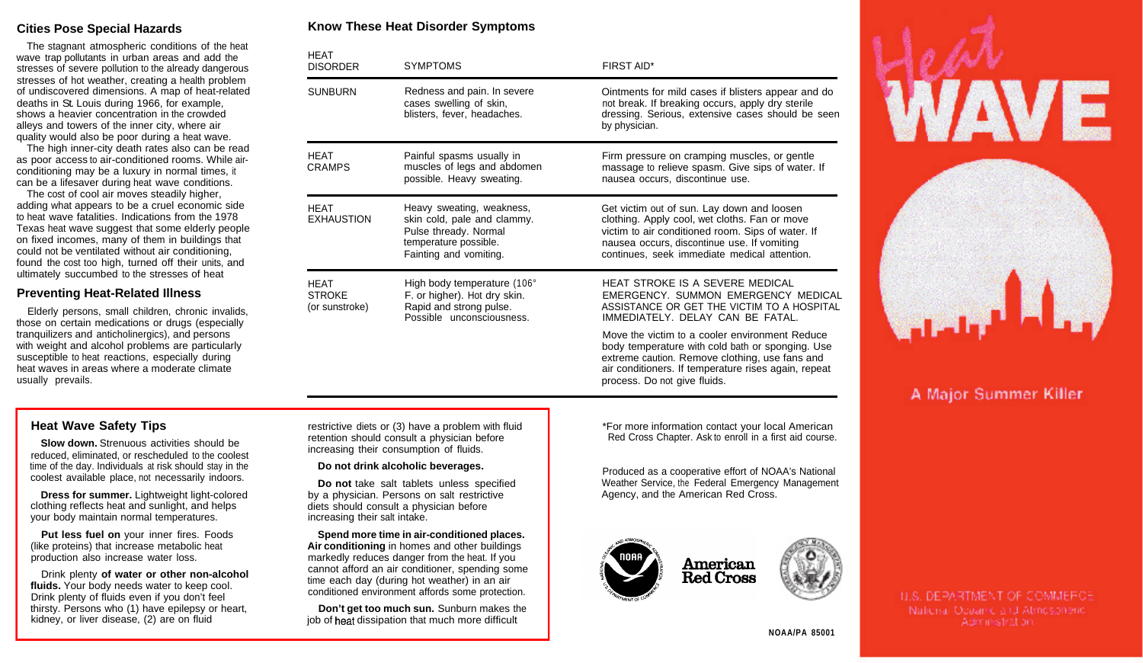# **Cities Pose Special Hazards**

The stagnant atmospheric conditions of the heat wave trap pollutants in urban areas and add the stresses of severe pollution to the already dangerous stresses of hot weather, creating a health problem of undiscovered dimensions. A map of heat-related deaths in St. Louis during 1966, for example, shows a heavier concentration in the crowded alleys and towers of the inner city, where air quality would also be poor during a heat wave.

The high inner-city death rates also can be read as poor access to air-conditioned rooms. While airconditioning may be a luxury in normal times, it can be a lifesaver during heat wave conditions.

The cost of cool air moves steadily higher, adding what appears to be a cruel economic side to heat wave fatalities. Indications from the 1978 Texas heat wave suggest that some elderly people on fixed incomes, many of them in buildings that could not be ventilated without air conditioning, found the cost too high, turned off their units, and ultimately succumbed to the stresses of heat

#### **Preventing Heat-Related Illness**

Elderly persons, small children, chronic invalids, those on certain medications or drugs (especially tranquilizers and anticholinergics), and persons with weight and alcohol problems are particularly susceptible to heat reactions, especially during heat waves in areas where a moderate climate usually prevails.

## **Know These Heat Disorder Symptoms**

| <b>HEAT</b><br><b>DISORDER</b>                 | <b>SYMPTOMS</b>                                                                                                                      | FIRST AID*                                                                                                                                                                                                                                      |
|------------------------------------------------|--------------------------------------------------------------------------------------------------------------------------------------|-------------------------------------------------------------------------------------------------------------------------------------------------------------------------------------------------------------------------------------------------|
| <b>SUNBURN</b>                                 | Redness and pain. In severe<br>cases swelling of skin,<br>blisters, fever, headaches.                                                | Ointments for mild cases if blisters appear and do<br>not break. If breaking occurs, apply dry sterile<br>dressing. Serious, extensive cases should be seen<br>by physician.                                                                    |
| <b>HEAT</b><br><b>CRAMPS</b>                   | Painful spasms usually in<br>muscles of legs and abdomen<br>possible. Heavy sweating.                                                | Firm pressure on cramping muscles, or gentle<br>massage to relieve spasm. Give sips of water. If<br>nausea occurs, discontinue use.                                                                                                             |
| <b>HEAT</b><br><b>EXHAUSTION</b>               | Heavy sweating, weakness,<br>skin cold, pale and clammy.<br>Pulse thready. Normal<br>temperature possible.<br>Fainting and vomiting. | Get victim out of sun. Lay down and loosen<br>clothing. Apply cool, wet cloths. Fan or move<br>victim to air conditioned room. Sips of water. If<br>nausea occurs, discontinue use. If vomiting<br>continues, seek immediate medical attention. |
| <b>HEAT</b><br><b>STROKE</b><br>(or sunstroke) | High body temperature (106°<br>F. or higher). Hot dry skin.<br>Rapid and strong pulse.<br>Possible unconsciousness.                  | HEAT STROKE IS A SEVERE MEDICAL<br>EMERGENCY. SUMMON EMERGENCY MEDICAL<br>ASSISTANCE OR GET THE VICTIM TO A HOSPITAL<br>IMMEDIATELY, DELAY CAN BE FATAL.                                                                                        |
|                                                |                                                                                                                                      | Move the victim to a cooler environment Reduce<br>body temperature with cold bath or sponging. Use<br>extreme caution. Remove clothing, use fans and<br>air conditioners. If temperature rises again, repeat<br>process. Do not give fluids.    |

### **Heat Wave Safety Tips**

**Slow down.** Strenuous activities should be reduced, eliminated, or rescheduled to the coolest time of the day. Individuals at risk should stay in the coolest available place, not necessarily indoors.

**Dress for summer.** Lightweight light-colored clothing reflects heat and sunlight, and helps your body maintain normal temperatures.

**Put less fuel on** your inner fires. Foods (like proteins) that increase metabolic heat production also increase water loss.

Drink plenty **of water or other non-alcohol fluids.** Your body needs water to keep cool. Drink plenty of fluids even if you don't feel thirsty. Persons who (1) have epilepsy or heart, kidney, or liver disease, (2) are on fluid

restrictive diets or (3) have a problem with fluid retention should consult a physician before increasing their consumption of fluids.

#### **Do not drink alcoholic beverages.**

**Do not** take salt tablets unless specified by a physician. Persons on salt restrictive diets should consult a physician before increasing their salt intake.

**Spend more time in air-conditioned places. Air conditioning** in homes and other buildings markedly reduces danger from the heat. If you cannot afford an air conditioner, spending some time each day (during hot weather) in an air conditioned environment affords some protection.

**Don't get too much sun.** Sunburn makes the job of heat dissipation that much more difficult

\*For more information contact your local American Red Cross Chapter. Ask to enroll in a first aid course.

Produced as a cooperative effort of NOAA's National Weather Service, the Federal Emergency Management Agency, and the American Red Cross.







# A Major Summer Killer

**U.S. DEPARTMENT OF COMMERCE** National Oceanic and Atmospheric. Administration.